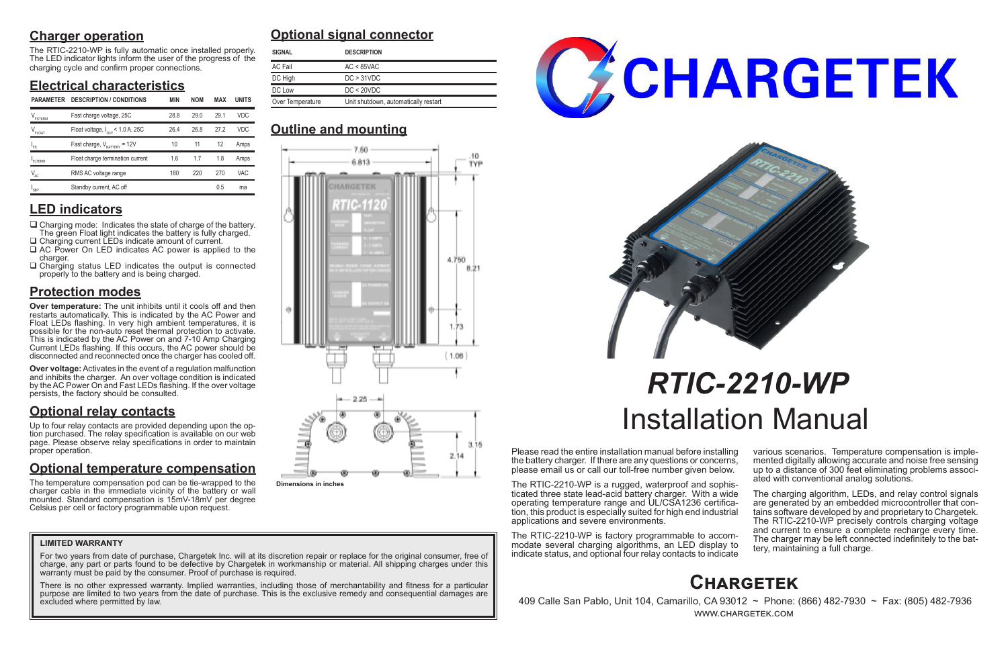## **Charger operation**

The RTIC-2210-WP is fully automatic once installed properly. The LED indicator lights inform the user of the progress of the charging cycle and confirm proper connections.

## **Electrical characteristics**

## **LED indicators**

- $\Box$  Charging mode: Indicates the state of charge of the battery. The green Float light indicates the battery is fully charged. □ Charging current LEDs indicate amount of current.
- □ AC Power On LED indicates AC power is applied to the charger.
- $\Box$  Charging status LED indicates the output is connected properly to the battery and is being charged.

## **Protection modes**

**Over temperature:** The unit inhibits until it cools off and then restarts automatically. This is indicated by the AC Power and Float LEDs flashing. In very high ambient temperatures, it is possible for the non-auto reset thermal protection to activate. This is indicated by the AC Power on and 7-10 Amp Charging Current LEDs flashing. If this occurs, the AC power should be disconnected and reconnected once the charger has cooled off.

**Over voltage:** Activates in the event of a regulation malfunction and inhibits the charger. An over voltage condition is indicated by the AC Power On and Fast LEDs flashing. If the over voltage persists, the factory should be consulted.

## **Optional relay contacts**

Up to four relay contacts are provided depending upon the option purchased. The relay specification is available on our web page. Please observe relay specifications in order to maintain proper operation.

> The charging algorithm, LEDs, and relay control signals are generated by an embedded microcontroller that contains software developed by and proprietary to Chargetek. The RTIC-2210-WP precisely controls charging voltage and current to ensure a complete recharge every time. The charger may be left connected indefinitely to the bat- tery, maintaining a full charge.

## **Optional temperature compensation**

For two years from date of purchase, Chargetek Inc. will at its discretion repair or replace for the original consumer, free of charge, any part or parts found to be defective by Chargetek in workmanship or material. All shipping charges under this warranty must be paid by the consumer. Proof of purchase is required.

The temperature compensation pod can be tie-wrapped to the charger cable in the immediate vicinity of the battery or wall mounted. Standard compensation is 15mV-18mV per degree Celsius per cell or factory programmable upon request.

Please read the entire installation manual before installing the battery charger. If there are any questions or concerns, please email us or call our toll-free number given below.

The RTIC-2210-WP is a rugged, waterproof and sophisticated three state lead-acid battery charger. With a wide tion, this product is especially suited for high end industrial applications and severe environments.

The RTIC-2210-WP is factory programmable to accommodate several charging algorithms, an LED display to indicate status, and optional four relay contacts to indicate

various scenarios. Temperature compensation is imple- mented digitally allowing accurate and noise free sensing up to a distance of 300 feet eliminating problems associ- ated with conventional analog solutions.

# *RTIC-2210-WP* Installation Manual

# **Optional signal connector**

## **Outline and mounting**



 409 Calle San Pablo, Unit 104, Camarillo, CA 93012 ~ Phone: (866) 482-7930 ~ Fax: (805) 482-7936 www.chargetek.com

## **LIMITED WARRANTY**

There is no other expressed warranty. Implied warranties, including those of merchantability and fitness for a particular purpose are limited to two years from the date of purchase. This is the exclusive remedy and consequential damages are excluded where permitted by law.





| <b>SIGNAL</b>                                            | <b>DESCRIPTION</b> |
|----------------------------------------------------------|--------------------|
| AC Fail                                                  | $AC < 85$ VAC      |
| DC High                                                  | DC > 31 VDC        |
| DC Low                                                   | DC < 20 VDC        |
| Over Temperature<br>Unit shutdown, automatically restart |                    |

| <b>PARAMETER</b>              | <b>DESCRIPTION / CONDITIONS</b>              | <b>MIN</b> | <b>NOM</b> | <b>MAX</b> | <b>UNITS</b> | Over Temperature<br>Unit shutdown, automatically restart |  |  |
|-------------------------------|----------------------------------------------|------------|------------|------------|--------------|----------------------------------------------------------|--|--|
| $V_{\texttt{\tiny FSTERM}}$   | Fast charge voltage, 25C                     | 28.8       | 29.0       | 29.1       | <b>VDC</b>   |                                                          |  |  |
| $\mathsf{V}_{\mathsf{FLOAT}}$ | Float voltage, $I_{\text{OUT}}$ < 1.0 A, 25C | 26.4       | 26.8       | 27.2       | <b>VDC</b>   | <b>Outline and mounting</b>                              |  |  |
| $"$ FS                        | Fast charge, $V_{\text{raffry}} = 12V$       | 10         | 11         | 12         | Amps         | 7.50.                                                    |  |  |
| FLTERM                        | Float charge termination current             | 1.6        | 1.7        | 1.8        | Amps         | 6.813                                                    |  |  |
| $V_{AC}$                      | RMS AC voltage range                         | 180        | 220        | 270        | VAC          |                                                          |  |  |
| $I_{SBY}$                     | Standby current, AC off                      |            |            | 0.5        | ma           | _________                                                |  |  |



**Dimensions in inches**